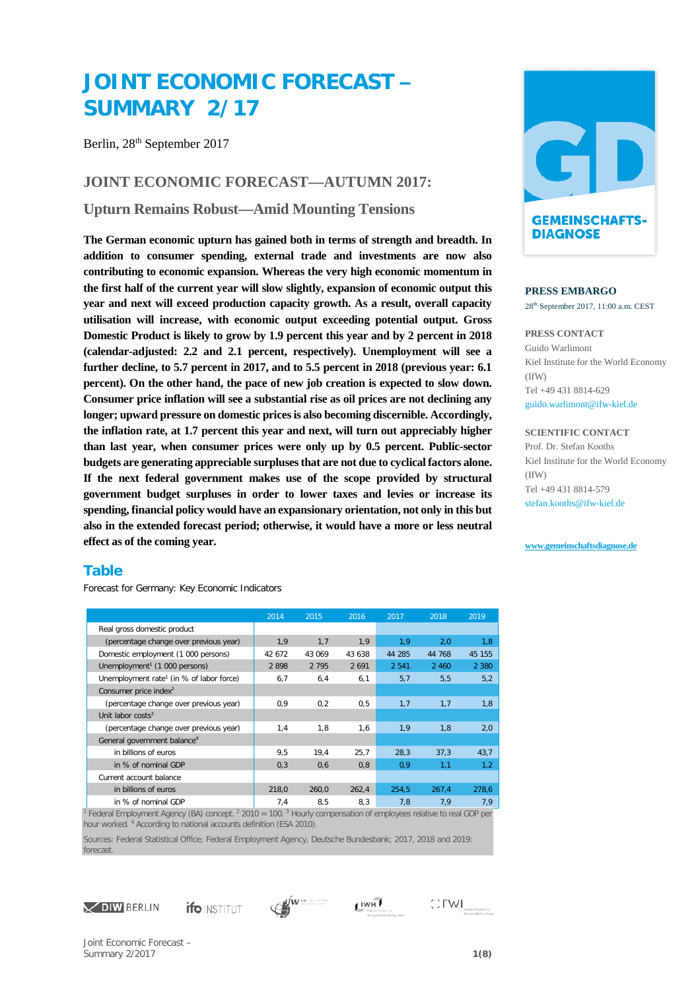# **JOINT ECONOMIC FORECAST – SUMMARY 2/17**

Berlin, 28<sup>th</sup> September 2017

## **JOINT ECONOMIC FORECAST—AUTUMN 2017:**

**Upturn Remains Robust—Amid Mounting Tensions**

**The German economic upturn has gained both in terms of strength and breadth. In addition to consumer spending, external trade and investments are now also contributing to economic expansion. Whereas the very high economic momentum in the first half of the current year will slow slightly, expansion of economic output this year and next will exceed production capacity growth. As a result, overall capacity utilisation will increase, with economic output exceeding potential output. Gross Domestic Product is likely to grow by 1.9 percent this year and by 2 percent in 2018 (calendar-adjusted: 2.2 and 2.1 percent, respectively). Unemployment will see a further decline, to 5.7 percent in 2017, and to 5.5 percent in 2018 (previous year: 6.1 percent). On the other hand, the pace of new job creation is expected to slow down. Consumer price inflation will see a substantial rise as oil prices are not declining any longer; upward pressure on domestic prices is also becoming discernible. Accordingly, the inflation rate, at 1.7 percent this year and next, will turn out appreciably higher than last year, when consumer prices were only up by 0.5 percent. Public-sector budgets are generating appreciable surpluses that are not due to cyclical factors alone. If the next federal government makes use of the scope provided by structural government budget surpluses in order to lower taxes and levies or increase its spending, financial policy would have an expansionary orientation, not only in this but also in the extended forecast period; otherwise, it would have a more or less neutral effect as of the coming year.**

## **Table**

Forecast for Germany: Key Economic Indicators

|                                                      | 2014   | 2015    | 2016    | 2017    | 2018    | 2019    |
|------------------------------------------------------|--------|---------|---------|---------|---------|---------|
| Real gross domestic product                          |        |         |         |         |         |         |
| (percentage change over previous year)               | 1,9    | 1,7     | 1,9     | 1,9     | 2,0     | 1,8     |
| Domestic employment (1 000 persons)                  | 42 672 | 43 069  | 43 638  | 44 285  | 44 768  | 45 155  |
| Unemployment <sup>1</sup> (1 000 persons)            | 2898   | 2 7 9 5 | 2 6 9 1 | 2 5 4 1 | 2 4 6 0 | 2 3 8 0 |
| Unemployment rate <sup>1</sup> (in % of labor force) | 6,7    | 6,4     | 6,1     | 5,7     | 5, 5    | 5,2     |
| Consumer price index <sup>2</sup>                    |        |         |         |         |         |         |
| (percentage change over previous year)               | 0,9    | 0,2     | 0, 5    | 1,7     | 1,7     | 1,8     |
| Unit labor $costs3$                                  |        |         |         |         |         |         |
| (percentage change over previous year)               | 1,4    | 1,8     | 1,6     | 1,9     | 1,8     | 2,0     |
| General government balance <sup>4</sup>              |        |         |         |         |         |         |
| in billions of euros                                 | 9,5    | 19.4    | 25,7    | 28,3    | 37,3    | 43,7    |
| in % of nominal GDP                                  | 0,3    | 0,6     | 0,8     | 0,9     | 1,1     | 1,2     |
| Current account balance                              |        |         |         |         |         |         |
| in billions of euros                                 | 218,0  | 260,0   | 262,4   | 254,5   | 267,4   | 278,6   |
| in % of nominal GDP                                  | 7,4    | 8,5     | 8,3     | 7,8     | 7,9     | 7,9     |

<sup>1</sup> Federal Employment Agency (BA) concept. 2 2010 = 100. 3 Hourly compensation of employees relative to real GDP per hour worked. <sup>4</sup> According to national accounts definition (ESA 2010).

Sources: Federal Statistical Office; Federal Employment Agency, Deutsche Bundesbank; 2017, 2018 and 2019: forecast.













#### **PRESS EMBARGO**

28th September 2017, 11:00 a.m. CEST

#### **PRESS CONTACT** Guido Warlimont Kiel Institute for the World Economy (IfW) Tel +49 431 8814-629 [guido.warlimont@ifw-kiel.de](mailto:presse@iwh-halle.de)

**SCIENTIFIC CONTACT** Prof. Dr. Stefan Kooths Kiel Institute for the World Economy (IfW) Tel +49 431 8814-579 stefan.kooths@ifw-kiel.de

#### **[www.gemeinschaftsdiagnose.de](http://www.gemeinschaftsdiagnose.de/)**

Joint Economic Forecast – Summary 2/2017 **1(8)**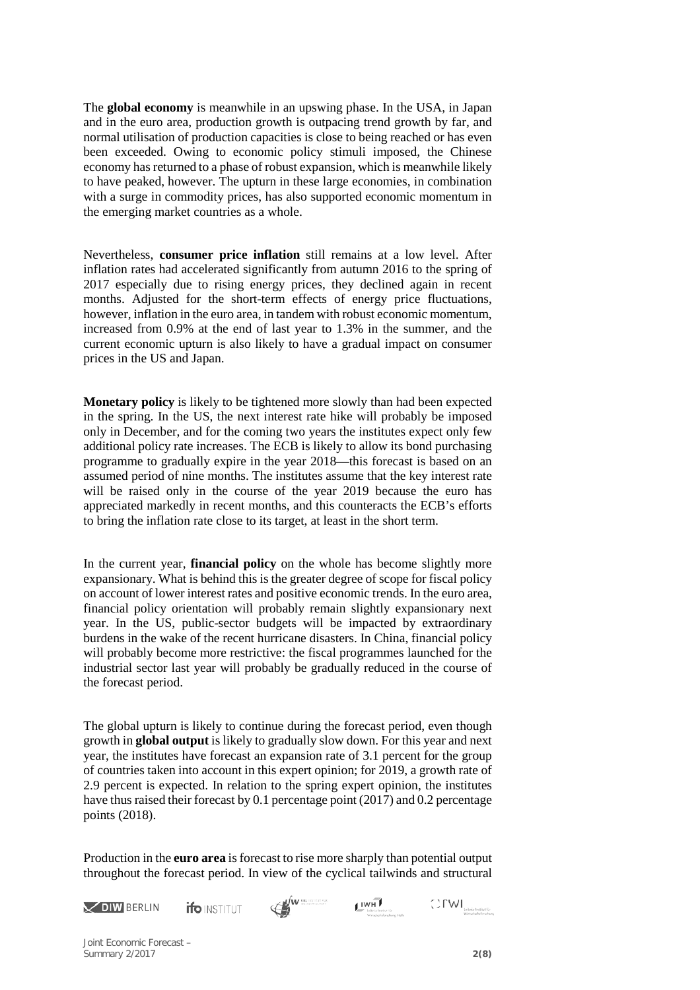The **global economy** is meanwhile in an upswing phase. In the USA, in Japan and in the euro area, production growth is outpacing trend growth by far, and normal utilisation of production capacities is close to being reached or has even been exceeded. Owing to economic policy stimuli imposed, the Chinese economy has returned to a phase of robust expansion, which is meanwhile likely to have peaked, however. The upturn in these large economies, in combination with a surge in commodity prices, has also supported economic momentum in the emerging market countries as a whole.

Nevertheless, **consumer price inflation** still remains at a low level. After inflation rates had accelerated significantly from autumn 2016 to the spring of 2017 especially due to rising energy prices, they declined again in recent months. Adjusted for the short-term effects of energy price fluctuations, however, inflation in the euro area, in tandem with robust economic momentum, increased from 0.9% at the end of last year to 1.3% in the summer, and the current economic upturn is also likely to have a gradual impact on consumer prices in the US and Japan.

**Monetary policy** is likely to be tightened more slowly than had been expected in the spring. In the US, the next interest rate hike will probably be imposed only in December, and for the coming two years the institutes expect only few additional policy rate increases. The ECB is likely to allow its bond purchasing programme to gradually expire in the year 2018—this forecast is based on an assumed period of nine months. The institutes assume that the key interest rate will be raised only in the course of the year 2019 because the euro has appreciated markedly in recent months, and this counteracts the ECB's efforts to bring the inflation rate close to its target, at least in the short term.

In the current year, **financial policy** on the whole has become slightly more expansionary. What is behind this is the greater degree of scope for fiscal policy on account of lower interest rates and positive economic trends. In the euro area, financial policy orientation will probably remain slightly expansionary next year. In the US, public-sector budgets will be impacted by extraordinary burdens in the wake of the recent hurricane disasters. In China, financial policy will probably become more restrictive: the fiscal programmes launched for the industrial sector last year will probably be gradually reduced in the course of the forecast period.

The global upturn is likely to continue during the forecast period, even though growth in **global output** is likely to gradually slow down. For this year and next year, the institutes have forecast an expansion rate of 3.1 percent for the group of countries taken into account in this expert opinion; for 2019, a growth rate of 2.9 percent is expected. In relation to the spring expert opinion, the institutes have thus raised their forecast by 0.1 percentage point (2017) and 0.2 percentage points (2018).

Production in the **euro area** is forecast to rise more sharply than potential output throughout the forecast period. In view of the cyclical tailwinds and structural



Joint Economic Forecast – Summary 2/2017 **2(8)**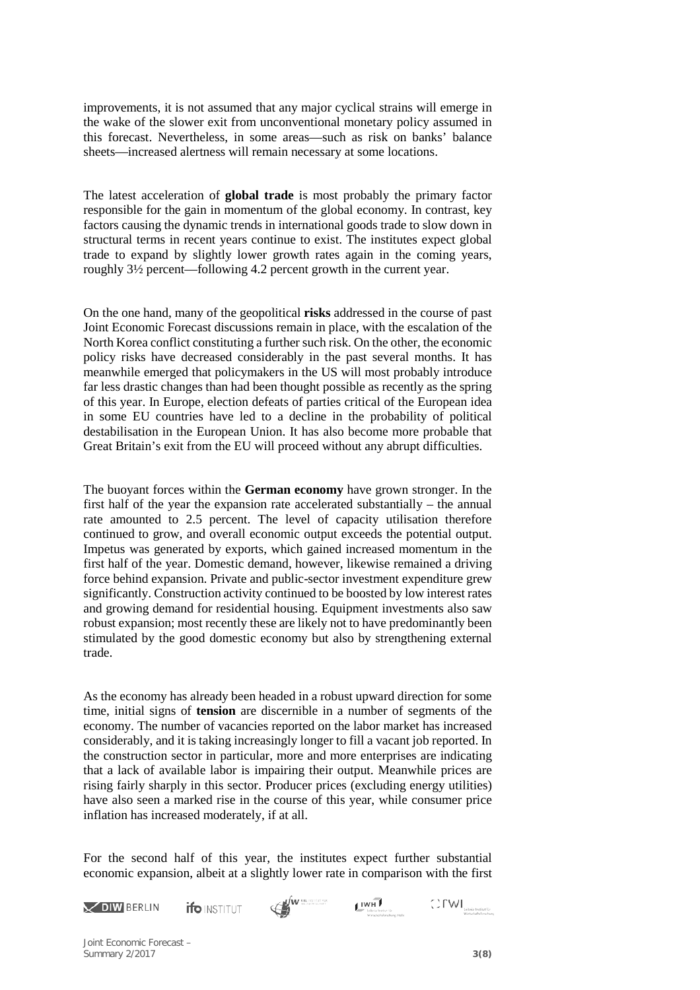improvements, it is not assumed that any major cyclical strains will emerge in the wake of the slower exit from unconventional monetary policy assumed in this forecast. Nevertheless, in some areas—such as risk on banks' balance sheets—increased alertness will remain necessary at some locations.

The latest acceleration of **global trade** is most probably the primary factor responsible for the gain in momentum of the global economy. In contrast, key factors causing the dynamic trends in international goods trade to slow down in structural terms in recent years continue to exist. The institutes expect global trade to expand by slightly lower growth rates again in the coming years, roughly 3½ percent—following 4.2 percent growth in the current year.

On the one hand, many of the geopolitical **risks** addressed in the course of past Joint Economic Forecast discussions remain in place, with the escalation of the North Korea conflict constituting a further such risk. On the other, the economic policy risks have decreased considerably in the past several months. It has meanwhile emerged that policymakers in the US will most probably introduce far less drastic changes than had been thought possible as recently as the spring of this year. In Europe, election defeats of parties critical of the European idea in some EU countries have led to a decline in the probability of political destabilisation in the European Union. It has also become more probable that Great Britain's exit from the EU will proceed without any abrupt difficulties.

The buoyant forces within the **German economy** have grown stronger. In the first half of the year the expansion rate accelerated substantially – the annual rate amounted to 2.5 percent. The level of capacity utilisation therefore continued to grow, and overall economic output exceeds the potential output. Impetus was generated by exports, which gained increased momentum in the first half of the year. Domestic demand, however, likewise remained a driving force behind expansion. Private and public-sector investment expenditure grew significantly. Construction activity continued to be boosted by low interest rates and growing demand for residential housing. Equipment investments also saw robust expansion; most recently these are likely not to have predominantly been stimulated by the good domestic economy but also by strengthening external trade.

As the economy has already been headed in a robust upward direction for some time, initial signs of **tension** are discernible in a number of segments of the economy. The number of vacancies reported on the labor market has increased considerably, and it is taking increasingly longer to fill a vacant job reported. In the construction sector in particular, more and more enterprises are indicating that a lack of available labor is impairing their output. Meanwhile prices are rising fairly sharply in this sector. Producer prices (excluding energy utilities) have also seen a marked rise in the course of this year, while consumer price inflation has increased moderately, if at all.

For the second half of this year, the institutes expect further substantial economic expansion, albeit at a slightly lower rate in comparison with the first



Joint Economic Forecast – Summary 2/2017 **3(8)**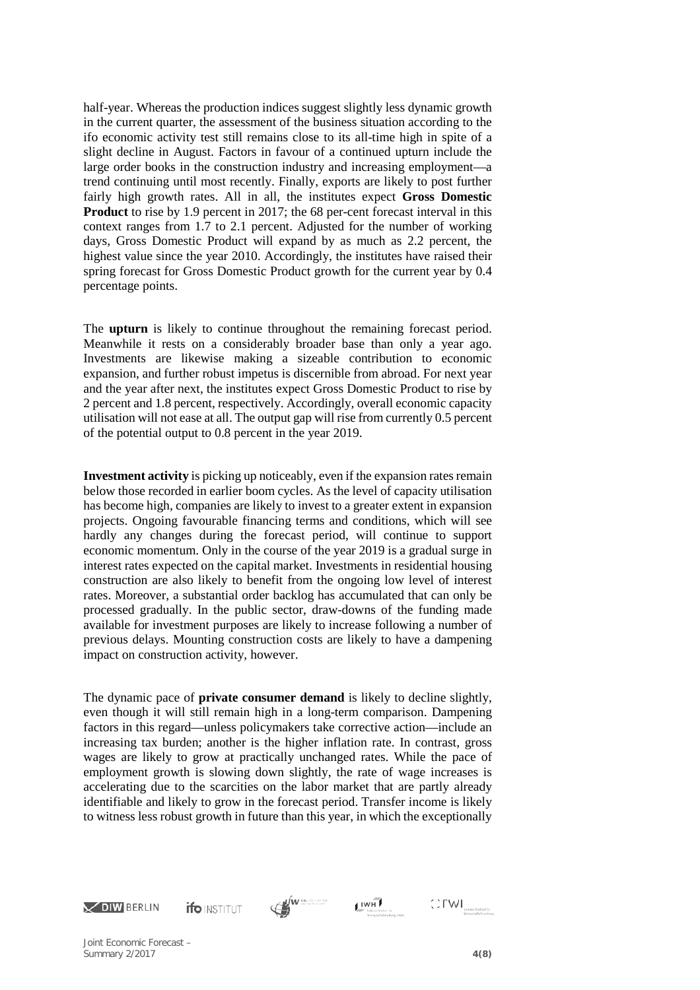half-year. Whereas the production indices suggest slightly less dynamic growth in the current quarter, the assessment of the business situation according to the ifo economic activity test still remains close to its all-time high in spite of a slight decline in August. Factors in favour of a continued upturn include the large order books in the construction industry and increasing employment—a trend continuing until most recently. Finally, exports are likely to post further fairly high growth rates. All in all, the institutes expect **Gross Domestic Product** to rise by 1.9 percent in 2017; the 68 per-cent forecast interval in this context ranges from 1.7 to 2.1 percent. Adjusted for the number of working days, Gross Domestic Product will expand by as much as 2.2 percent, the highest value since the year 2010. Accordingly, the institutes have raised their spring forecast for Gross Domestic Product growth for the current year by 0.4 percentage points.

The **upturn** is likely to continue throughout the remaining forecast period. Meanwhile it rests on a considerably broader base than only a year ago. Investments are likewise making a sizeable contribution to economic expansion, and further robust impetus is discernible from abroad. For next year and the year after next, the institutes expect Gross Domestic Product to rise by 2 percent and 1.8 percent, respectively. Accordingly, overall economic capacity utilisation will not ease at all. The output gap will rise from currently 0.5 percent of the potential output to 0.8 percent in the year 2019.

**Investment activity** is picking up noticeably, even if the expansion rates remain below those recorded in earlier boom cycles. As the level of capacity utilisation has become high, companies are likely to invest to a greater extent in expansion projects. Ongoing favourable financing terms and conditions, which will see hardly any changes during the forecast period, will continue to support economic momentum. Only in the course of the year 2019 is a gradual surge in interest rates expected on the capital market. Investments in residential housing construction are also likely to benefit from the ongoing low level of interest rates. Moreover, a substantial order backlog has accumulated that can only be processed gradually. In the public sector, draw-downs of the funding made available for investment purposes are likely to increase following a number of previous delays. Mounting construction costs are likely to have a dampening impact on construction activity, however.

The dynamic pace of **private consumer demand** is likely to decline slightly, even though it will still remain high in a long-term comparison. Dampening factors in this regard—unless policymakers take corrective action—include an increasing tax burden; another is the higher inflation rate. In contrast, gross wages are likely to grow at practically unchanged rates. While the pace of employment growth is slowing down slightly, the rate of wage increases is accelerating due to the scarcities on the labor market that are partly already identifiable and likely to grow in the forecast period. Transfer income is likely to witness less robust growth in future than this year, in which the exceptionally











Joint Economic Forecast – Summary 2/2017 **4(8)**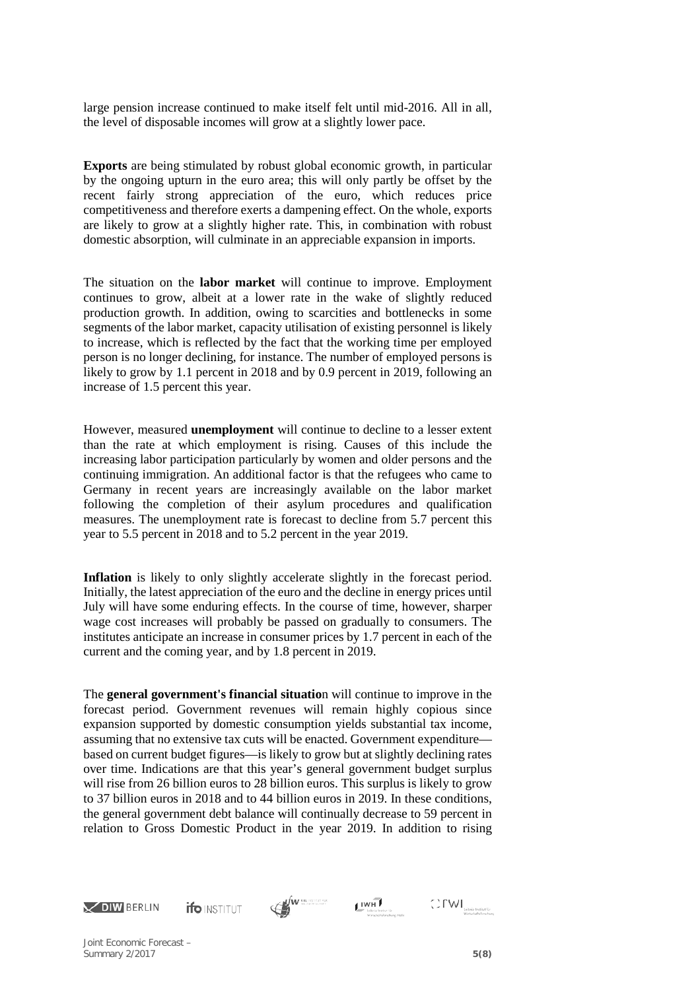large pension increase continued to make itself felt until mid-2016. All in all, the level of disposable incomes will grow at a slightly lower pace.

**Exports** are being stimulated by robust global economic growth, in particular by the ongoing upturn in the euro area; this will only partly be offset by the recent fairly strong appreciation of the euro, which reduces price competitiveness and therefore exerts a dampening effect. On the whole, exports are likely to grow at a slightly higher rate. This, in combination with robust domestic absorption, will culminate in an appreciable expansion in imports.

The situation on the **labor market** will continue to improve. Employment continues to grow, albeit at a lower rate in the wake of slightly reduced production growth. In addition, owing to scarcities and bottlenecks in some segments of the labor market, capacity utilisation of existing personnel is likely to increase, which is reflected by the fact that the working time per employed person is no longer declining, for instance. The number of employed persons is likely to grow by 1.1 percent in 2018 and by 0.9 percent in 2019, following an increase of 1.5 percent this year.

However, measured **unemployment** will continue to decline to a lesser extent than the rate at which employment is rising. Causes of this include the increasing labor participation particularly by women and older persons and the continuing immigration. An additional factor is that the refugees who came to Germany in recent years are increasingly available on the labor market following the completion of their asylum procedures and qualification measures. The unemployment rate is forecast to decline from 5.7 percent this year to 5.5 percent in 2018 and to 5.2 percent in the year 2019.

**Inflation** is likely to only slightly accelerate slightly in the forecast period. Initially, the latest appreciation of the euro and the decline in energy prices until July will have some enduring effects. In the course of time, however, sharper wage cost increases will probably be passed on gradually to consumers. The institutes anticipate an increase in consumer prices by 1.7 percent in each of the current and the coming year, and by 1.8 percent in 2019.

The **general government's financial situatio**n will continue to improve in the forecast period. Government revenues will remain highly copious since expansion supported by domestic consumption yields substantial tax income, assuming that no extensive tax cuts will be enacted. Government expenditure based on current budget figures—is likely to grow but at slightly declining rates over time. Indications are that this year's general government budget surplus will rise from 26 billion euros to 28 billion euros. This surplus is likely to grow to 37 billion euros in 2018 and to 44 billion euros in 2019. In these conditions, the general government debt balance will continually decrease to 59 percent in relation to Gross Domestic Product in the year 2019. In addition to rising









 $\bigcirc \text{FWI}_{\text{lebielubilabolicity}}$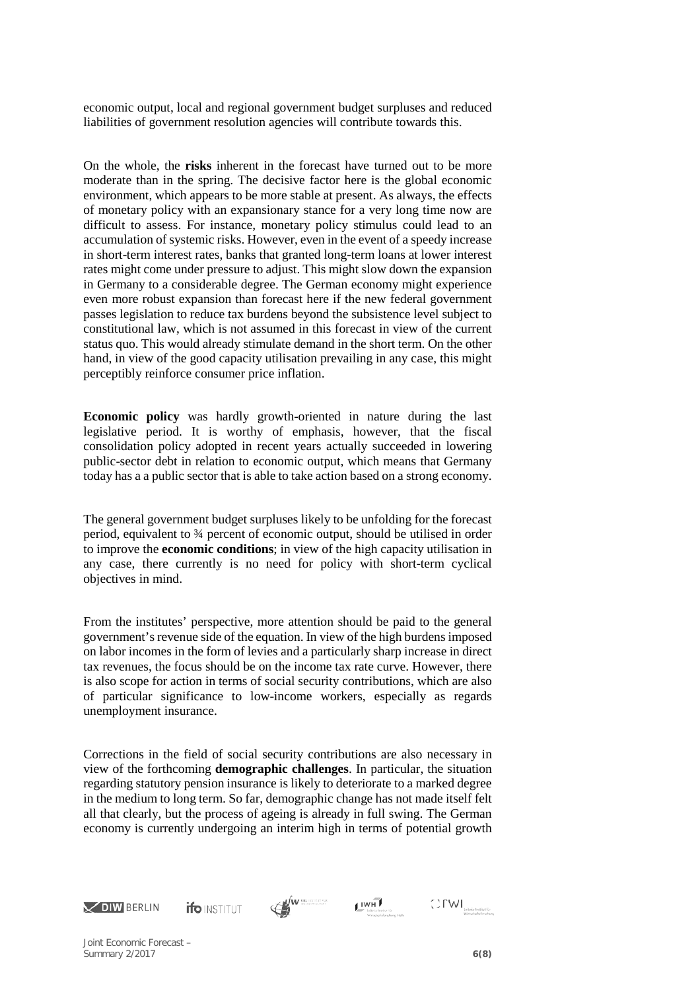economic output, local and regional government budget surpluses and reduced liabilities of government resolution agencies will contribute towards this.

On the whole, the **risks** inherent in the forecast have turned out to be more moderate than in the spring. The decisive factor here is the global economic environment, which appears to be more stable at present. As always, the effects of monetary policy with an expansionary stance for a very long time now are difficult to assess. For instance, monetary policy stimulus could lead to an accumulation of systemic risks. However, even in the event of a speedy increase in short-term interest rates, banks that granted long-term loans at lower interest rates might come under pressure to adjust. This might slow down the expansion in Germany to a considerable degree. The German economy might experience even more robust expansion than forecast here if the new federal government passes legislation to reduce tax burdens beyond the subsistence level subject to constitutional law, which is not assumed in this forecast in view of the current status quo. This would already stimulate demand in the short term. On the other hand, in view of the good capacity utilisation prevailing in any case, this might perceptibly reinforce consumer price inflation.

**Economic policy** was hardly growth-oriented in nature during the last legislative period. It is worthy of emphasis, however, that the fiscal consolidation policy adopted in recent years actually succeeded in lowering public-sector debt in relation to economic output, which means that Germany today has a a public sector that is able to take action based on a strong economy.

The general government budget surpluses likely to be unfolding for the forecast period, equivalent to ¾ percent of economic output, should be utilised in order to improve the **economic conditions**; in view of the high capacity utilisation in any case, there currently is no need for policy with short-term cyclical objectives in mind.

From the institutes' perspective, more attention should be paid to the general government's revenue side of the equation. In view of the high burdens imposed on labor incomes in the form of levies and a particularly sharp increase in direct tax revenues, the focus should be on the income tax rate curve. However, there is also scope for action in terms of social security contributions, which are also of particular significance to low-income workers, especially as regards unemployment insurance.

Corrections in the field of social security contributions are also necessary in view of the forthcoming **demographic challenges**. In particular, the situation regarding statutory pension insurance is likely to deteriorate to a marked degree in the medium to long term. So far, demographic change has not made itself felt all that clearly, but the process of ageing is already in full swing. The German economy is currently undergoing an interim high in terms of potential growth



**ifo** INSTITUT





 $\bigcirc \text{FWI}_{\text{lebielubilabolicity}}$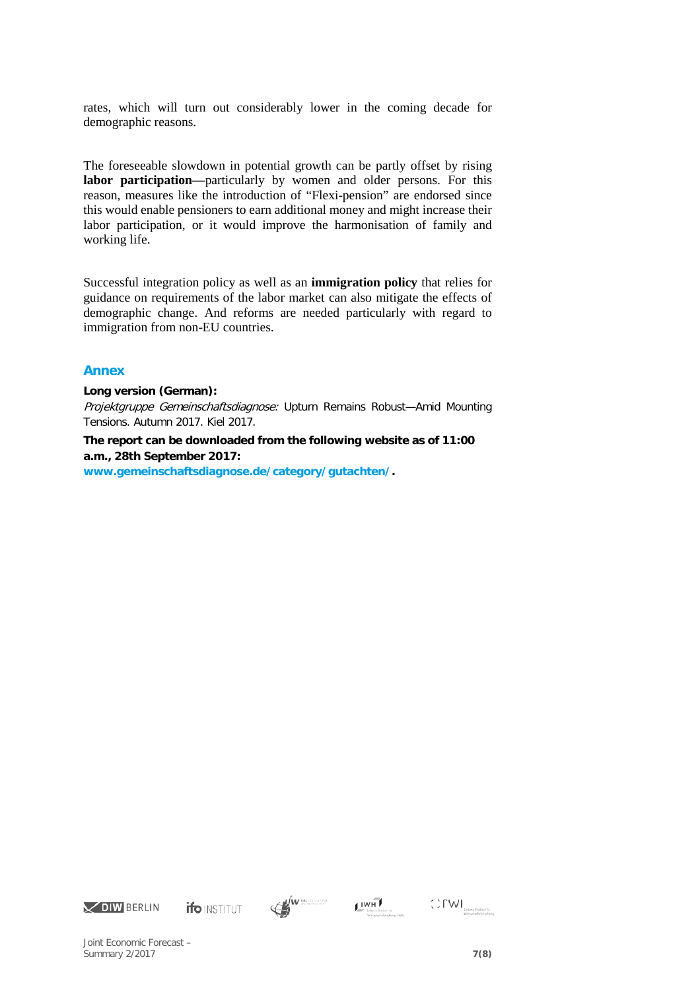rates, which will turn out considerably lower in the coming decade for demographic reasons.

The foreseeable slowdown in potential growth can be partly offset by rising **labor participation—**particularly by women and older persons. For this reason, measures like the introduction of "Flexi-pension" are endorsed since this would enable pensioners to earn additional money and might increase their labor participation, or it would improve the harmonisation of family and working life.

Successful integration policy as well as an **immigration policy** that relies for guidance on requirements of the labor market can also mitigate the effects of demographic change. And reforms are needed particularly with regard to immigration from non-EU countries.

## **Annex**

#### **Long version (German):**

Projektgruppe Gemeinschaftsdiagnose: Upturn Remains Robust—Amid Mounting Tensions. Autumn 2017. Kiel 2017.

# **The report can be downloaded from the following website as of 11:00 a.m., 28th September 2017:**

**[www.gemeinschaftsdiagnose.de/category/gutachten/.](http://www.gemeinschaftsdiagnose.de/category/gutachten/)**













Joint Economic Forecast – Summary 2/2017 **7(8)**